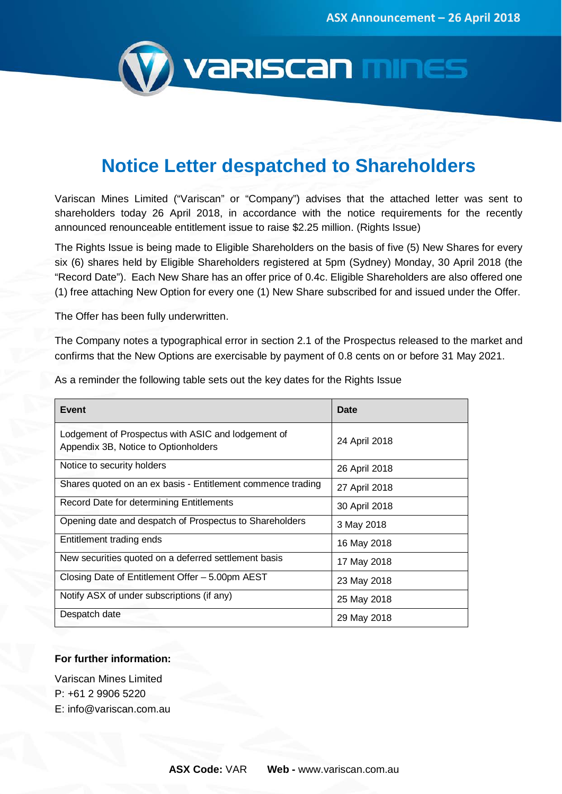

# **Notice Letter despatched to Shareholders**

Variscan Mines Limited ("Variscan" or "Company") advises that the attached letter was sent to shareholders today 26 April 2018, in accordance with the notice requirements for the recently announced renounceable entitlement issue to raise \$2.25 million. (Rights Issue)

The Rights Issue is being made to Eligible Shareholders on the basis of five (5) New Shares for every six (6) shares held by Eligible Shareholders registered at 5pm (Sydney) Monday, 30 April 2018 (the "Record Date"). Each New Share has an offer price of 0.4c. Eligible Shareholders are also offered one (1) free attaching New Option for every one (1) New Share subscribed for and issued under the Offer.

The Offer has been fully underwritten.

The Company notes a typographical error in section 2.1 of the Prospectus released to the market and confirms that the New Options are exercisable by payment of 0.8 cents on or before 31 May 2021.

| Event                                                                                      | Date          |
|--------------------------------------------------------------------------------------------|---------------|
| Lodgement of Prospectus with ASIC and lodgement of<br>Appendix 3B, Notice to Optionholders | 24 April 2018 |
| Notice to security holders                                                                 | 26 April 2018 |
| Shares quoted on an ex basis - Entitlement commence trading                                | 27 April 2018 |
| Record Date for determining Entitlements                                                   | 30 April 2018 |
| Opening date and despatch of Prospectus to Shareholders                                    | 3 May 2018    |
| Entitlement trading ends                                                                   | 16 May 2018   |
| New securities quoted on a deferred settlement basis                                       | 17 May 2018   |
| Closing Date of Entitlement Offer - 5.00pm AEST                                            | 23 May 2018   |
| Notify ASX of under subscriptions (if any)                                                 | 25 May 2018   |
| Despatch date                                                                              | 29 May 2018   |

As a reminder the following table sets out the key dates for the Rights Issue

## **For further information:**

Variscan Mines Limited P: +61 2 9906 5220 E: info@variscan.com.au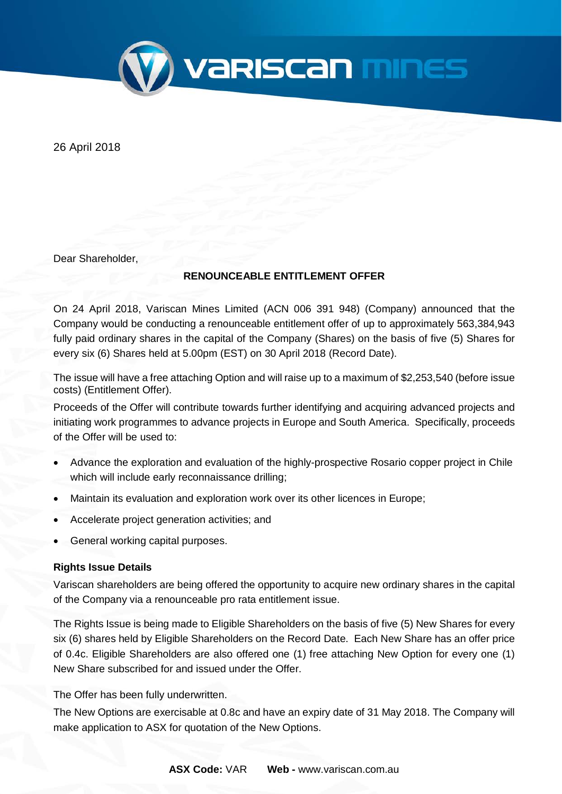

26 April 2018

Dear Shareholder,

## **RENOUNCEABLE ENTITLEMENT OFFER**

On 24 April 2018, Variscan Mines Limited (ACN 006 391 948) (Company) announced that the Company would be conducting a renounceable entitlement offer of up to approximately 563,384,943 fully paid ordinary shares in the capital of the Company (Shares) on the basis of five (5) Shares for every six (6) Shares held at 5.00pm (EST) on 30 April 2018 (Record Date).

The issue will have a free attaching Option and will raise up to a maximum of \$2,253,540 (before issue costs) (Entitlement Offer).

Proceeds of the Offer will contribute towards further identifying and acquiring advanced projects and initiating work programmes to advance projects in Europe and South America. Specifically, proceeds of the Offer will be used to:

- Advance the exploration and evaluation of the highly-prospective Rosario copper project in Chile which will include early reconnaissance drilling;
- Maintain its evaluation and exploration work over its other licences in Europe;
- Accelerate project generation activities; and
- General working capital purposes.

## **Rights Issue Details**

Variscan shareholders are being offered the opportunity to acquire new ordinary shares in the capital of the Company via a renounceable pro rata entitlement issue.

The Rights Issue is being made to Eligible Shareholders on the basis of five (5) New Shares for every six (6) shares held by Eligible Shareholders on the Record Date. Each New Share has an offer price of 0.4c. Eligible Shareholders are also offered one (1) free attaching New Option for every one (1) New Share subscribed for and issued under the Offer.

The Offer has been fully underwritten.

The New Options are exercisable at 0.8c and have an expiry date of 31 May 2018. The Company will make application to ASX for quotation of the New Options.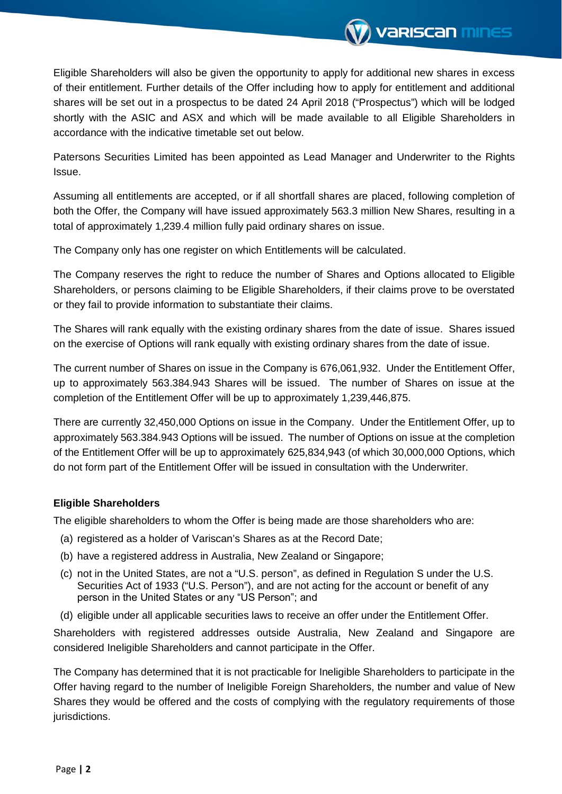

Eligible Shareholders will also be given the opportunity to apply for additional new shares in excess of their entitlement. Further details of the Offer including how to apply for entitlement and additional shares will be set out in a prospectus to be dated 24 April 2018 ("Prospectus") which will be lodged shortly with the ASIC and ASX and which will be made available to all Eligible Shareholders in accordance with the indicative timetable set out below.

Patersons Securities Limited has been appointed as Lead Manager and Underwriter to the Rights Issue.

Assuming all entitlements are accepted, or if all shortfall shares are placed, following completion of both the Offer, the Company will have issued approximately 563.3 million New Shares, resulting in a total of approximately 1,239.4 million fully paid ordinary shares on issue.

The Company only has one register on which Entitlements will be calculated.

The Company reserves the right to reduce the number of Shares and Options allocated to Eligible Shareholders, or persons claiming to be Eligible Shareholders, if their claims prove to be overstated or they fail to provide information to substantiate their claims.

The Shares will rank equally with the existing ordinary shares from the date of issue. Shares issued on the exercise of Options will rank equally with existing ordinary shares from the date of issue.

The current number of Shares on issue in the Company is 676,061,932. Under the Entitlement Offer, up to approximately 563.384.943 Shares will be issued. The number of Shares on issue at the completion of the Entitlement Offer will be up to approximately 1,239,446,875.

There are currently 32,450,000 Options on issue in the Company. Under the Entitlement Offer, up to approximately 563.384.943 Options will be issued. The number of Options on issue at the completion of the Entitlement Offer will be up to approximately 625,834,943 (of which 30,000,000 Options, which do not form part of the Entitlement Offer will be issued in consultation with the Underwriter.

## **Eligible Shareholders**

The eligible shareholders to whom the Offer is being made are those shareholders who are:

- (a) registered as a holder of Variscan's Shares as at the Record Date;
- (b) have a registered address in Australia, New Zealand or Singapore;
- (c) not in the United States, are not a "U.S. person", as defined in Regulation S under the U.S. Securities Act of 1933 ("U.S. Person"), and are not acting for the account or benefit of any person in the United States or any "US Person"; and
- (d) eligible under all applicable securities laws to receive an offer under the Entitlement Offer.

Shareholders with registered addresses outside Australia, New Zealand and Singapore are considered Ineligible Shareholders and cannot participate in the Offer.

The Company has determined that it is not practicable for Ineligible Shareholders to participate in the Offer having regard to the number of Ineligible Foreign Shareholders, the number and value of New Shares they would be offered and the costs of complying with the regulatory requirements of those jurisdictions.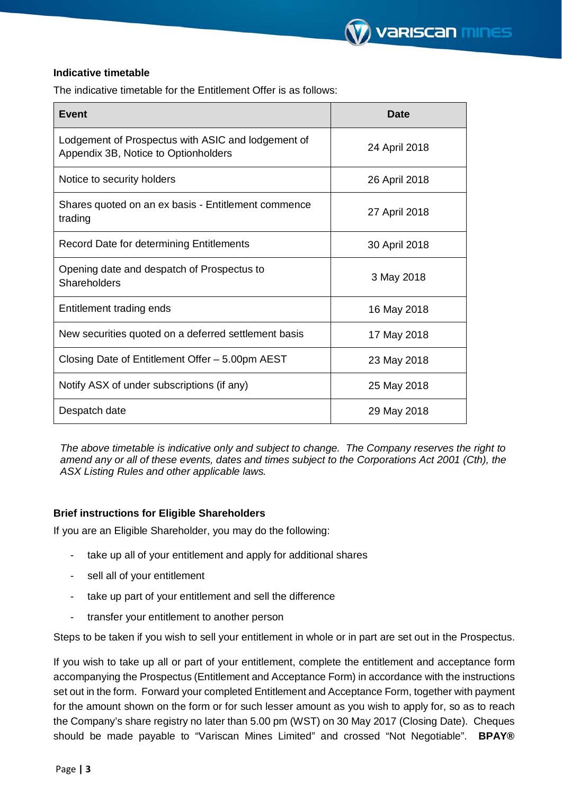## **Indicative timetable**

The indicative timetable for the Entitlement Offer is as follows:

| <b>Event</b>                                                                               | Date          |
|--------------------------------------------------------------------------------------------|---------------|
| Lodgement of Prospectus with ASIC and lodgement of<br>Appendix 3B, Notice to Optionholders | 24 April 2018 |
| Notice to security holders                                                                 | 26 April 2018 |
| Shares quoted on an ex basis - Entitlement commence<br>trading                             | 27 April 2018 |
| Record Date for determining Entitlements                                                   | 30 April 2018 |
| Opening date and despatch of Prospectus to<br>Shareholders                                 | 3 May 2018    |
| Entitlement trading ends                                                                   | 16 May 2018   |
| New securities quoted on a deferred settlement basis                                       | 17 May 2018   |
| Closing Date of Entitlement Offer - 5.00pm AEST                                            | 23 May 2018   |
| Notify ASX of under subscriptions (if any)                                                 | 25 May 2018   |
| Despatch date                                                                              | 29 May 2018   |

*The above timetable is indicative only and subject to change. The Company reserves the right to amend any or all of these events, dates and times subject to the Corporations Act 2001 (Cth), the ASX Listing Rules and other applicable laws.* 

## **Brief instructions for Eligible Shareholders**

If you are an Eligible Shareholder, you may do the following:

- take up all of your entitlement and apply for additional shares
- sell all of your entitlement
- take up part of your entitlement and sell the difference
- transfer your entitlement to another person

Steps to be taken if you wish to sell your entitlement in whole or in part are set out in the Prospectus.

If you wish to take up all or part of your entitlement, complete the entitlement and acceptance form accompanying the Prospectus (Entitlement and Acceptance Form) in accordance with the instructions set out in the form. Forward your completed Entitlement and Acceptance Form, together with payment for the amount shown on the form or for such lesser amount as you wish to apply for, so as to reach the Company's share registry no later than 5.00 pm (WST) on 30 May 2017 (Closing Date). Cheques should be made payable to "Variscan Mines Limited" and crossed "Not Negotiable". **BPAY®**